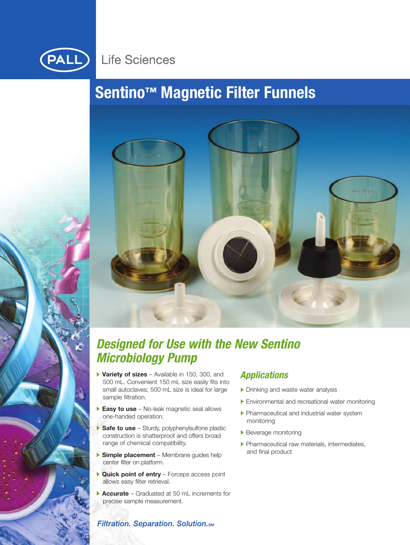

# **Life Sciences**

# **Sentino™ Magnetic Filter Funnels**



# *Designed for Use with the New Sentino Microbiology Pump*

- **Variety of sizes** Available in 150, 300, and 500 mL. Convenient 150 mL size easily fits into small autoclaves; 500 mL size is ideal for large sample filtration.
- **Easy to use** No-leak magnetic seal allows one-handed operation.
- **Safe to use** Sturdy, polyphenylsulfone plastic construction is shatterproof and offers broad range of chemical compatibility.
- **Simple placement** Membrane guides help center filter on platform.
- **Quick point of entry** Forceps access point allows easy filter retrieval.
- **Accurate** Graduated at 50 mL increments for precise sample measurement.

# *Applications*

- Drinking and waste water analysis
- Environmental and recreational water monitoring
- **Pharmaceutical and industrial water system** monitoring
- Beverage monitoring
- Pharmaceutical raw materials, intermediates, and final product

### **Filtration. Separation. Solution.**sm